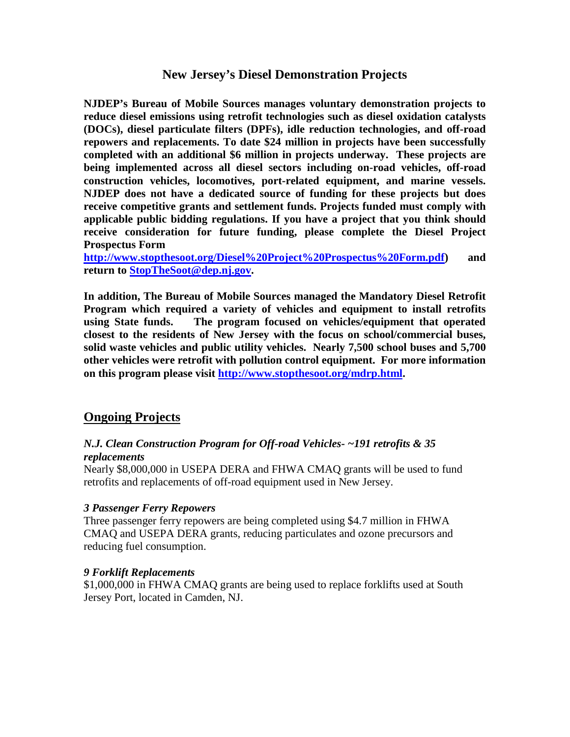## **New Jersey's Diesel Demonstration Projects**

**NJDEP's Bureau of Mobile Sources manages voluntary demonstration projects to reduce diesel emissions using retrofit technologies such as diesel oxidation catalysts (DOCs), diesel particulate filters (DPFs), idle reduction technologies, and off-road repowers and replacements. To date \$24 million in projects have been successfully completed with an additional \$6 million in projects underway. These projects are being implemented across all diesel sectors including on-road vehicles, off-road construction vehicles, locomotives, port-related equipment, and marine vessels. NJDEP does not have a dedicated source of funding for these projects but does receive competitive grants and settlement funds. Projects funded must comply with applicable public bidding regulations. If you have a project that you think should receive consideration for future funding, please complete the Diesel Project Prospectus Form**

**[http://www.stopthesoot.org/Diesel%20Project%20Prospectus%20Form.pdf\)](http://www.stopthesoot.org/Diesel%20Project%20Prospectus%20Form.pdf) and return to [StopTheSoot@dep.nj.gov.](mailto:StopTheSoot@dep.nj.gov)**

**In addition, The Bureau of Mobile Sources managed the Mandatory Diesel Retrofit Program which required a variety of vehicles and equipment to install retrofits using State funds. The program focused on vehicles/equipment that operated closest to the residents of New Jersey with the focus on school/commercial buses, solid waste vehicles and public utility vehicles. Nearly 7,500 school buses and 5,700 other vehicles were retrofit with pollution control equipment. For more information on this program please visit [http://www.stopthesoot.org/mdrp.html.](http://www.stopthesoot.org/mdrp.html)**

## **Ongoing Projects**

### *N.J. Clean Construction Program for Off-road Vehicles- ~191 retrofits & 35 replacements*

Nearly \$8,000,000 in USEPA DERA and FHWA CMAQ grants will be used to fund retrofits and replacements of off-road equipment used in New Jersey.

### *3 Passenger Ferry Repowers*

Three passenger ferry repowers are being completed using \$4.7 million in FHWA CMAQ and USEPA DERA grants, reducing particulates and ozone precursors and reducing fuel consumption.

#### *9 Forklift Replacements*

\$1,000,000 in FHWA CMAQ grants are being used to replace forklifts used at South Jersey Port, located in Camden, NJ.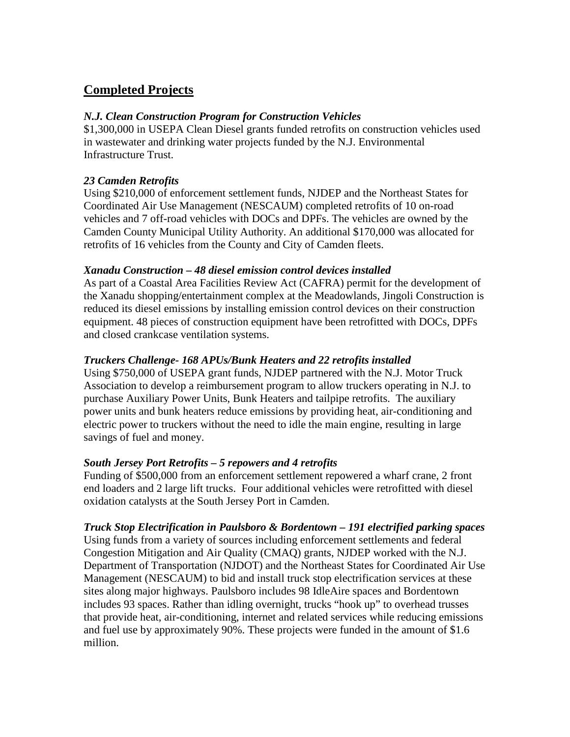# **Completed Projects**

#### *N.J. Clean Construction Program for Construction Vehicles*

\$1,300,000 in USEPA Clean Diesel grants funded retrofits on construction vehicles used in wastewater and drinking water projects funded by the N.J. Environmental Infrastructure Trust.

### *23 Camden Retrofits*

Using \$210,000 of enforcement settlement funds, NJDEP and the Northeast States for Coordinated Air Use Management (NESCAUM) completed retrofits of 10 on-road vehicles and 7 off-road vehicles with DOCs and DPFs. The vehicles are owned by the Camden County Municipal Utility Authority. An additional \$170,000 was allocated for retrofits of 16 vehicles from the County and City of Camden fleets.

#### *Xanadu Construction – 48 diesel emission control devices installed*

As part of a Coastal Area Facilities Review Act (CAFRA) permit for the development of the Xanadu shopping/entertainment complex at the Meadowlands, Jingoli Construction is reduced its diesel emissions by installing emission control devices on their construction equipment. 48 pieces of construction equipment have been retrofitted with DOCs, DPFs and closed crankcase ventilation systems.

### *Truckers Challenge- 168 APUs/Bunk Heaters and 22 retrofits installed*

Using \$750,000 of USEPA grant funds, NJDEP partnered with the N.J. Motor Truck Association to develop a reimbursement program to allow truckers operating in N.J. to purchase Auxiliary Power Units, Bunk Heaters and tailpipe retrofits. The auxiliary power units and bunk heaters reduce emissions by providing heat, air-conditioning and electric power to truckers without the need to idle the main engine, resulting in large savings of fuel and money.

### *South Jersey Port Retrofits – 5 repowers and 4 retrofits*

Funding of \$500,000 from an enforcement settlement repowered a wharf crane, 2 front end loaders and 2 large lift trucks. Four additional vehicles were retrofitted with diesel oxidation catalysts at the South Jersey Port in Camden.

#### *Truck Stop Electrification in Paulsboro & Bordentown – 191 electrified parking spaces*

Using funds from a variety of sources including enforcement settlements and federal Congestion Mitigation and Air Quality (CMAQ) grants, NJDEP worked with the N.J. Department of Transportation (NJDOT) and the Northeast States for Coordinated Air Use Management (NESCAUM) to bid and install truck stop electrification services at these sites along major highways. Paulsboro includes 98 IdleAire spaces and Bordentown includes 93 spaces. Rather than idling overnight, trucks "hook up" to overhead trusses that provide heat, air-conditioning, internet and related services while reducing emissions and fuel use by approximately 90%. These projects were funded in the amount of \$1.6 million.